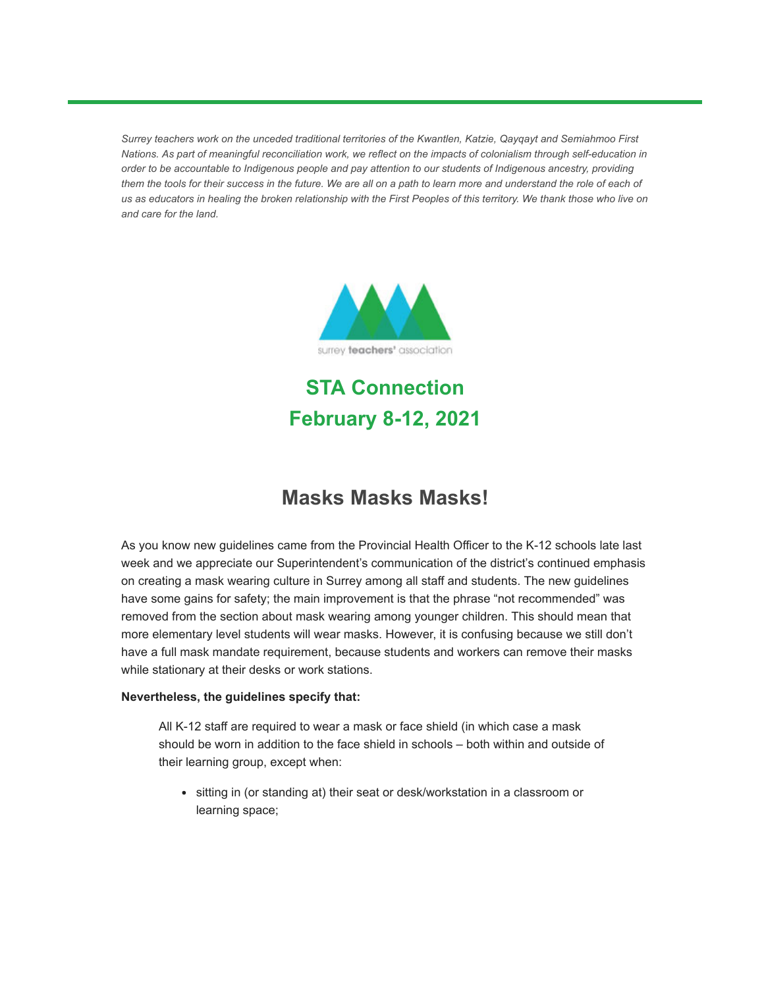*Surrey teachers work on the unceded traditional territories of the Kwantlen, Katzie, Qayqayt and Semiahmoo First Nations. As part of meaningful reconciliation work, we reflect on the impacts of colonialism through self-education in order to be accountable to Indigenous people and pay attention to our students of Indigenous ancestry, providing them the tools for their success in the future. We are all on a path to learn more and understand the role of each of us as educators in healing the broken relationship with the First Peoples of this territory. We thank those who live on and care for the land.* 



**STA Connection February 8-12, 2021**

#### **Masks Masks Masks!**

As you know new guidelines came from the Provincial Health Officer to the K-12 schools late last week and we appreciate our Superintendent's communication of the district's continued emphasis on creating a mask wearing culture in Surrey among all staff and students. The new guidelines have some gains for safety; the main improvement is that the phrase "not recommended" was removed from the section about mask wearing among younger children. This should mean that more elementary level students will wear masks. However, it is confusing because we still don't have a full mask mandate requirement, because students and workers can remove their masks while stationary at their desks or work stations.

#### **Nevertheless, the guidelines specify that:**

All K-12 staff are required to wear a mask or face shield (in which case a mask should be worn in addition to the face shield in schools – both within and outside of their learning group, except when:

• sitting in (or standing at) their seat or desk/workstation in a classroom or learning space;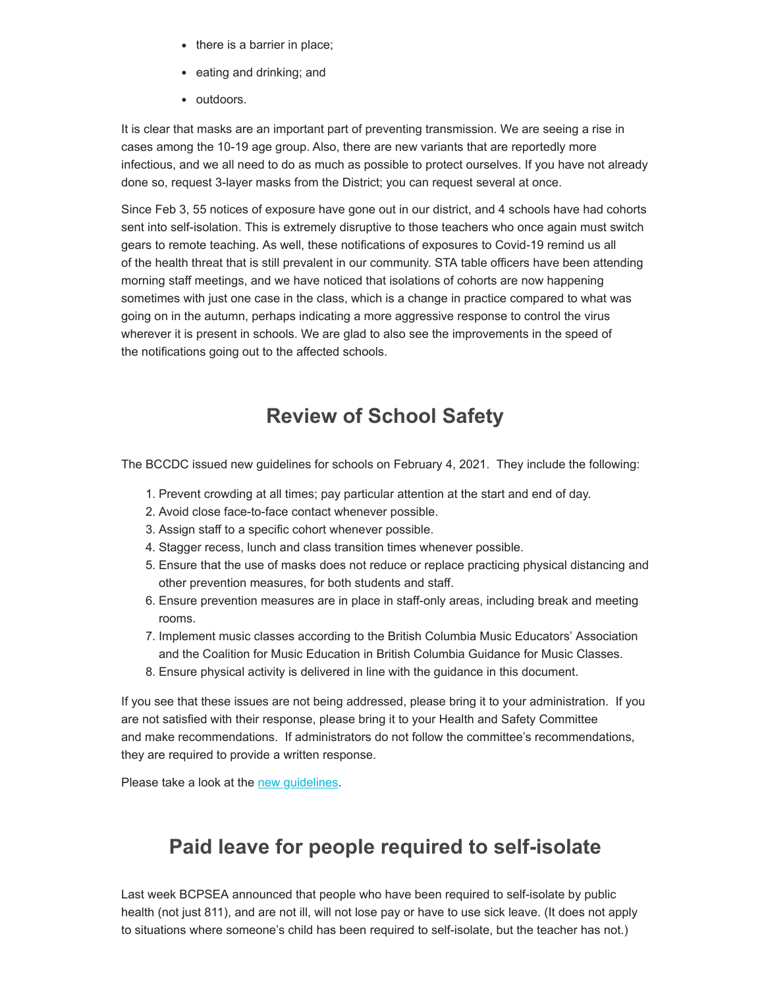- there is a barrier in place;
- eating and drinking; and
- outdoors.

It is clear that masks are an important part of preventing transmission. We are seeing a rise in cases among the 10-19 age group. Also, there are new variants that are reportedly more infectious, and we all need to do as much as possible to protect ourselves. If you have not already done so, request 3-layer masks from the District; you can request several at once.

Since Feb 3, 55 notices of exposure have gone out in our district, and 4 schools have had cohorts sent into self-isolation. This is extremely disruptive to those teachers who once again must switch gears to remote teaching. As well, these notifications of exposures to Covid-19 remind us all of the health threat that is still prevalent in our community. STA table officers have been attending morning staff meetings, and we have noticed that isolations of cohorts are now happening sometimes with just one case in the class, which is a change in practice compared to what was going on in the autumn, perhaps indicating a more aggressive response to control the virus wherever it is present in schools. We are glad to also see the improvements in the speed of the notifications going out to the affected schools.

## **Review of School Safety**

The BCCDC issued new guidelines for schools on February 4, 2021. They include the following:

- 1. Prevent crowding at all times; pay particular attention at the start and end of day.
- 2. Avoid close face-to-face contact whenever possible.
- 3. Assign staff to a specific cohort whenever possible.
- 4. Stagger recess, lunch and class transition times whenever possible.
- 5. Ensure that the use of masks does not reduce or replace practicing physical distancing and other prevention measures, for both students and staff.
- 6. Ensure prevention measures are in place in staff-only areas, including break and meeting rooms.
- 7. Implement music classes according to the British Columbia Music Educators' Association and the Coalition for Music Education in British Columbia Guidance for Music Classes.
- 8. Ensure physical activity is delivered in line with the guidance in this document.

If you see that these issues are not being addressed, please bring it to your administration. If you are not satisfied with their response, please bring it to your Health and Safety Committee and make recommendations. If administrators do not follow the committee's recommendations, they are required to provide a written response.

Please take a look at the [new guidelines](https://surreyteachers.us20.list-manage.com/track/click?u=37ec644ae87e34b54b3912660&id=2769522434&e=7261da6bdb).

# **Paid leave for people required to self-isolate**

Last week BCPSEA announced that people who have been required to self-isolate by public health (not just 811), and are not ill, will not lose pay or have to use sick leave. (It does not apply to situations where someone's child has been required to self-isolate, but the teacher has not.)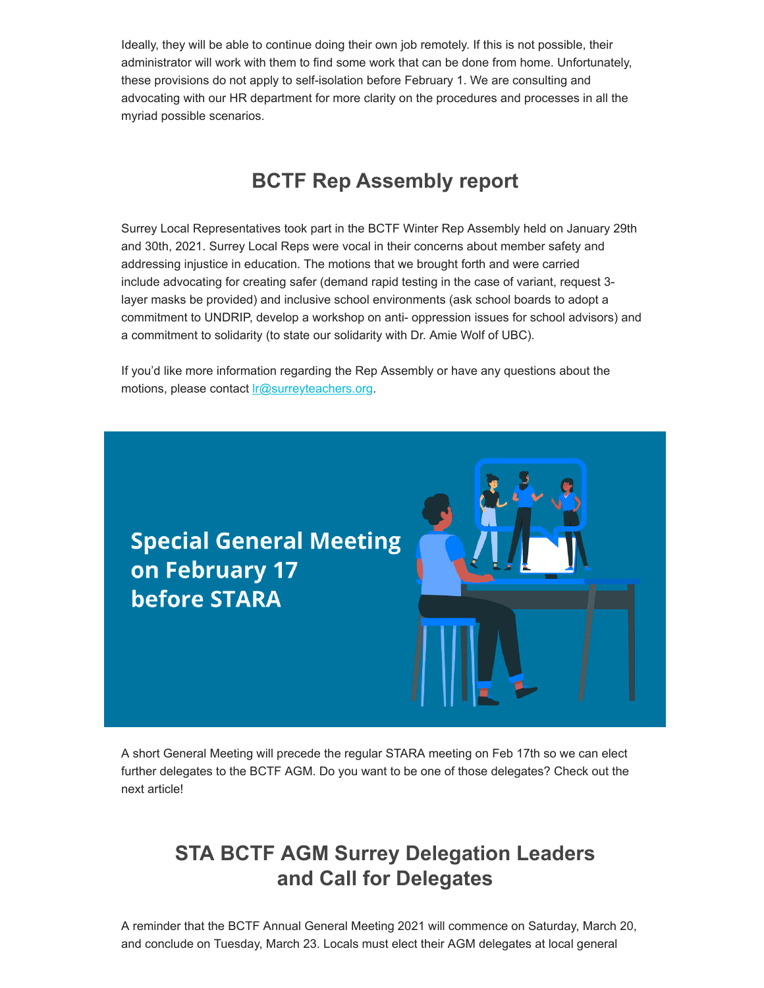Ideally, they will be able to continue doing their own job remotely. If this is not possible, their administrator will work with them to find some work that can be done from home. Unfortunately, these provisions do not apply to self-isolation before February 1. We are consulting and advocating with our HR department for more clarity on the procedures and processes in all the myriad possible scenarios.

#### **BCTF Rep Assembly report**

Surrey Local Representatives took part in the BCTF Winter Rep Assembly held on January 29th and 30th, 2021. Surrey Local Reps were vocal in their concerns about member safety and addressing injustice in education. The motions that we brought forth and were carried include advocating for creating safer (demand rapid testing in the case of variant, request 3 layer masks be provided) and inclusive school environments (ask school boards to adopt a commitment to UNDRIP, develop a workshop on anti- oppression issues for school advisors) and a commitment to solidarity (to state our solidarity with Dr. Amie Wolf of UBC).

If you'd like more information regarding the Rep Assembly or have any questions about the motions, please contact *r*<sub>@surreyteachers.org.</sub>



A short General Meeting will precede the regular STARA meeting on Feb 17th so we can elect further delegates to the BCTF AGM. Do you want to be one of those delegates? Check out the next article!

## **STA BCTF AGM Surrey Delegation Leaders and Call for Delegates**

A reminder that the BCTF Annual General Meeting 2021 will commence on Saturday, March 20, and conclude on Tuesday, March 23. Locals must elect their AGM delegates at local general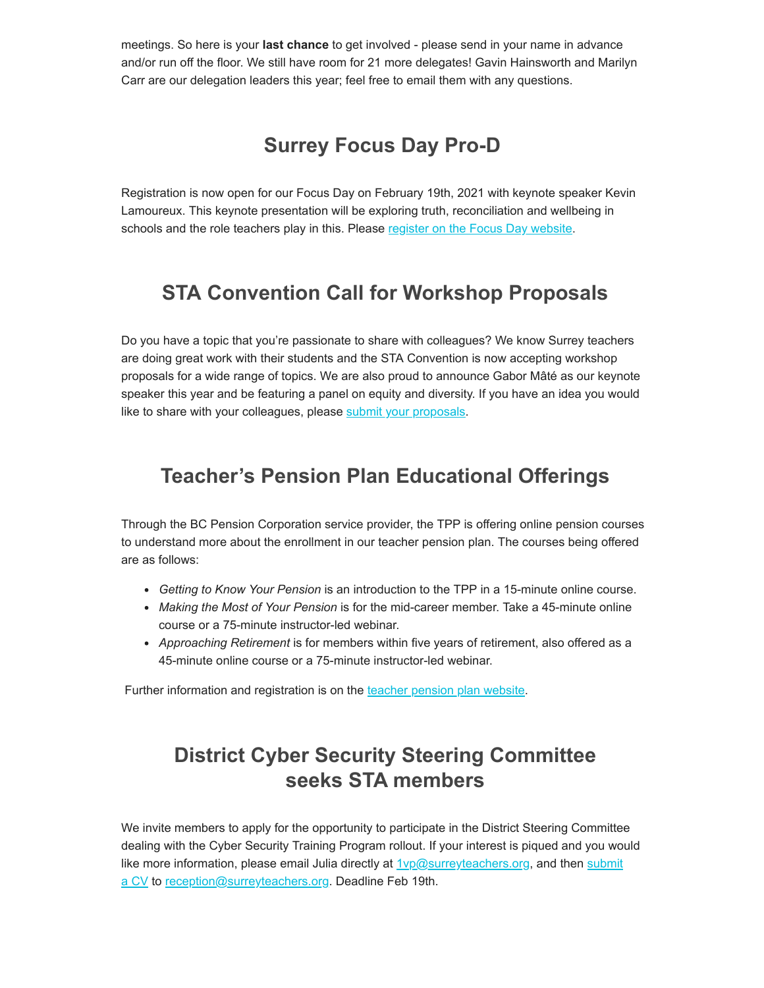meetings. So here is your **last chance** to get involved - please send in your name in advance and/or run off the floor. We still have room for 21 more delegates! Gavin Hainsworth and Marilyn Carr are our delegation leaders this year; feel free to email them with any questions.

# **Surrey Focus Day Pro-D**

Registration is now open for our Focus Day on February 19th, 2021 with keynote speaker Kevin Lamoureux. This keynote presentation will be exploring truth, reconciliation and wellbeing in schools and the role teachers play in this. Please [register on the Focus Day website.](https://surreyteachers.us20.list-manage.com/track/click?u=37ec644ae87e34b54b3912660&id=717b0d3c86&e=7261da6bdb)

## **STA Convention Call for Workshop Proposals**

Do you have a topic that you're passionate to share with colleagues? We know Surrey teachers are doing great work with their students and the STA Convention is now accepting workshop proposals for a wide range of topics. We are also proud to announce Gabor Mâté as our keynote speaker this year and be featuring a panel on equity and diversity. If you have an idea you would like to share with your colleagues, please [submit your proposals](https://surreyteachers.us20.list-manage.com/track/click?u=37ec644ae87e34b54b3912660&id=8f64a1f90b&e=7261da6bdb).

# **Teacher's Pension Plan Educational Offerings**

Through the BC Pension Corporation service provider, the TPP is offering online pension courses to understand more about the enrollment in our teacher pension plan. The courses being offered are as follows:

- *Getting to Know Your Pension* is an introduction to the TPP in a 15-minute online course.
- *Making the Most of Your Pension* is for the mid-career member. Take a 45-minute online course or a 75-minute instructor-led webinar.
- *Approaching Retirement* is for members within five years of retirement, also offered as a 45-minute online course or a 75-minute instructor-led webinar.

Further information and registration is on the [teacher pension plan website.](https://surreyteachers.us20.list-manage.com/track/click?u=37ec644ae87e34b54b3912660&id=93d8e2a460&e=7261da6bdb)

# **District Cyber Security Steering Committee seeks STA members**

We invite members to apply for the opportunity to participate in the District Steering Committee dealing with the Cyber Security Training Program rollout. If your interest is piqued and you would like more information, please email Julia directly at  $1$ v $p@s$ urreyteachers.org[, and then submit](https://surreyteachers.us20.list-manage.com/track/click?u=37ec644ae87e34b54b3912660&id=2a13a7c956&e=7261da6bdb) a CV to [reception@surreyteachers.org.](mailto:reception@surreyteachers.org) Deadline Feb 19th.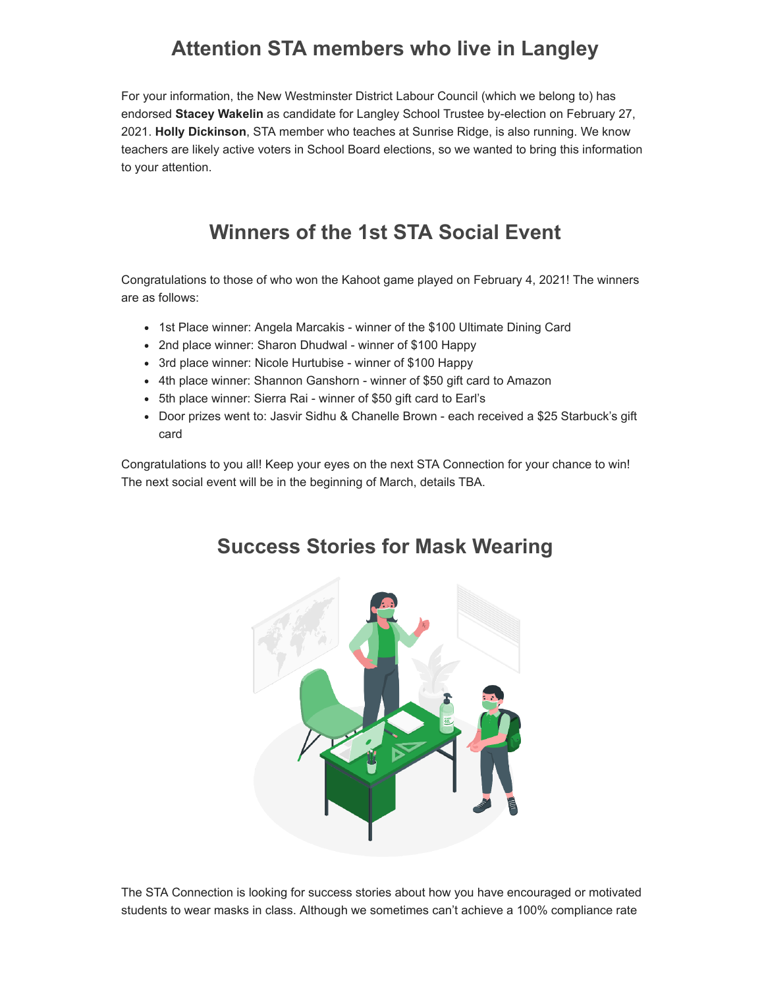# **Attention STA members who live in Langley**

For your information, the New Westminster District Labour Council (which we belong to) has endorsed **Stacey Wakelin** as candidate for Langley School Trustee by-election on February 27, 2021. **Holly Dickinson**, STA member who teaches at Sunrise Ridge, is also running. We know teachers are likely active voters in School Board elections, so we wanted to bring this information to your attention.

# **Winners of the 1st STA Social Event**

Congratulations to those of who won the Kahoot game played on February 4, 2021! The winners are as follows:

- 1st Place winner: Angela Marcakis winner of the \$100 Ultimate Dining Card
- 2nd place winner: Sharon Dhudwal winner of \$100 Happy
- 3rd place winner: Nicole Hurtubise winner of \$100 Happy
- 4th place winner: Shannon Ganshorn winner of \$50 gift card to Amazon
- 5th place winner: Sierra Rai winner of \$50 gift card to Earl's
- Door prizes went to: Jasvir Sidhu & Chanelle Brown each received a \$25 Starbuck's gift card

Congratulations to you all! Keep your eyes on the next STA Connection for your chance to win! The next social event will be in the beginning of March, details TBA.



#### **Success Stories for Mask Wearing**

The STA Connection is looking for success stories about how you have encouraged or motivated students to wear masks in class. Although we sometimes can't achieve a 100% compliance rate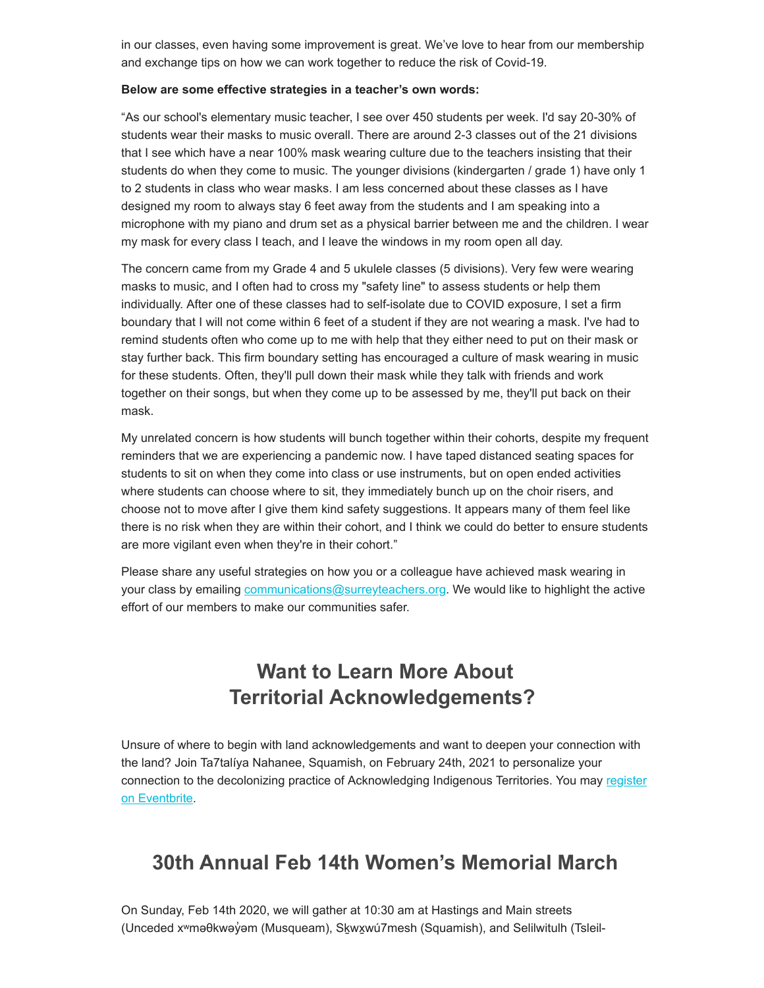in our classes, even having some improvement is great. We've love to hear from our membership and exchange tips on how we can work together to reduce the risk of Covid-19.

#### **Below are some effective strategies in a teacher's own words:**

"As our school's elementary music teacher, I see over 450 students per week. I'd say 20-30% of students wear their masks to music overall. There are around 2-3 classes out of the 21 divisions that I see which have a near 100% mask wearing culture due to the teachers insisting that their students do when they come to music. The younger divisions (kindergarten / grade 1) have only 1 to 2 students in class who wear masks. I am less concerned about these classes as I have designed my room to always stay 6 feet away from the students and I am speaking into a microphone with my piano and drum set as a physical barrier between me and the children. I wear my mask for every class I teach, and I leave the windows in my room open all day.

The concern came from my Grade 4 and 5 ukulele classes (5 divisions). Very few were wearing masks to music, and I often had to cross my "safety line" to assess students or help them individually. After one of these classes had to self-isolate due to COVID exposure, I set a firm boundary that I will not come within 6 feet of a student if they are not wearing a mask. I've had to remind students often who come up to me with help that they either need to put on their mask or stay further back. This firm boundary setting has encouraged a culture of mask wearing in music for these students. Often, they'll pull down their mask while they talk with friends and work together on their songs, but when they come up to be assessed by me, they'll put back on their mask.

My unrelated concern is how students will bunch together within their cohorts, despite my frequent reminders that we are experiencing a pandemic now. I have taped distanced seating spaces for students to sit on when they come into class or use instruments, but on open ended activities where students can choose where to sit, they immediately bunch up on the choir risers, and choose not to move after I give them kind safety suggestions. It appears many of them feel like there is no risk when they are within their cohort, and I think we could do better to ensure students are more vigilant even when they're in their cohort."

Please share any useful strategies on how you or a colleague have achieved mask wearing in your class by emailing [communications@surreyteachers.org.](mailto:communications@surreyteachers.org) We would like to highlight the active effort of our members to make our communities safer.

## **Want to Learn More About Territorial Acknowledgements?**

Unsure of where to begin with land acknowledgements and want to deepen your connection with the land? Join Ta7talíya Nahanee, Squamish, on February 24th, 2021 to personalize your [connection to the decolonizing practice of Acknowledging Indigenous Territories. You may register](https://surreyteachers.us20.list-manage.com/track/click?u=37ec644ae87e34b54b3912660&id=b4dce6b5d2&e=7261da6bdb) on Eventbrite.

#### **30th Annual Feb 14th Women's Memorial March**

On Sunday, Feb 14th 2020, we will gather at 10:30 am at Hastings and Main streets (Unceded xʷməθkwəy̓ əm (Musqueam), Sḵwx̱wú7mesh (Squamish), and Selilwitulh (Tsleil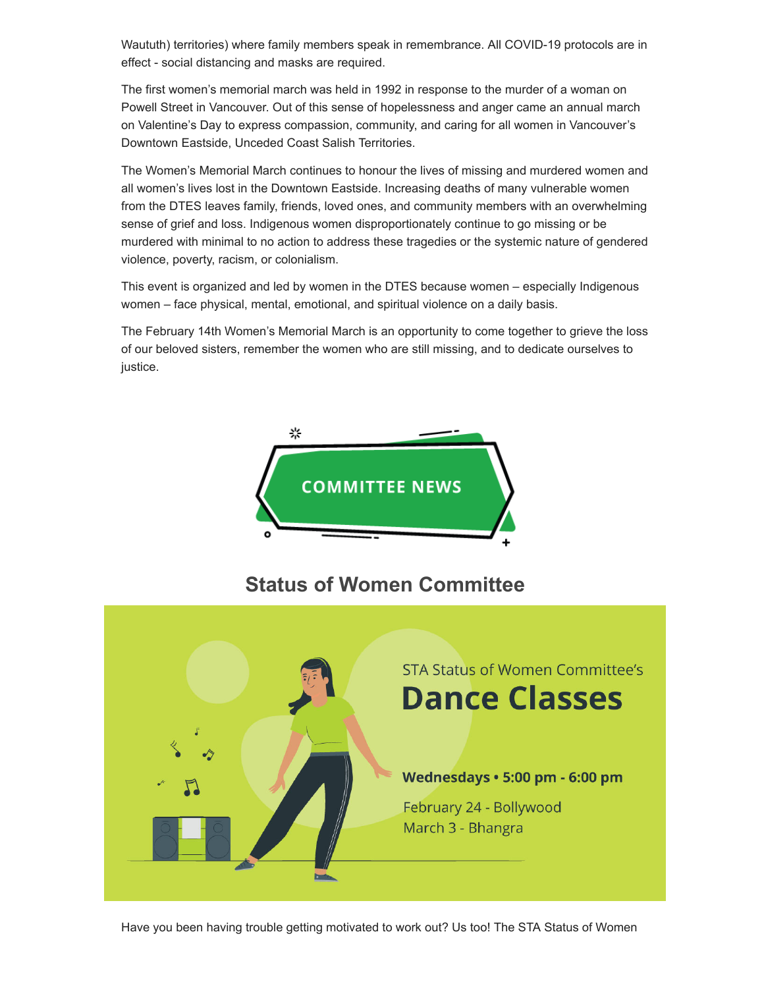Waututh) territories) where family members speak in remembrance. All COVID-19 protocols are in effect - social distancing and masks are required.

The first women's memorial march was held in 1992 in response to the murder of a woman on Powell Street in Vancouver. Out of this sense of hopelessness and anger came an annual march on Valentine's Day to express compassion, community, and caring for all women in Vancouver's Downtown Eastside, Unceded Coast Salish Territories.

The Women's Memorial March continues to honour the lives of missing and murdered women and all women's lives lost in the Downtown Eastside. Increasing deaths of many vulnerable women from the DTES leaves family, friends, loved ones, and community members with an overwhelming sense of grief and loss. Indigenous women disproportionately continue to go missing or be murdered with minimal to no action to address these tragedies or the systemic nature of gendered violence, poverty, racism, or colonialism.

This event is organized and led by women in the DTES because women – especially Indigenous women – face physical, mental, emotional, and spiritual violence on a daily basis.

The February 14th Women's Memorial March is an opportunity to come together to grieve the loss of our beloved sisters, remember the women who are still missing, and to dedicate ourselves to justice.



#### **Status of Women Committee**

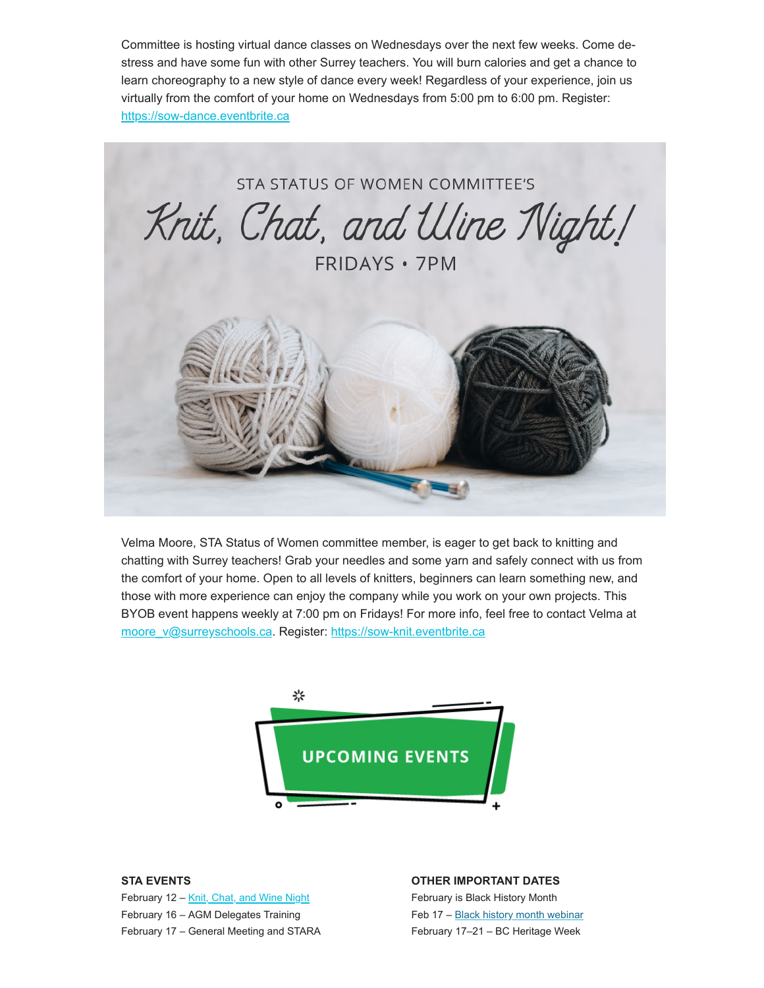Committee is hosting virtual dance classes on Wednesdays over the next few weeks. Come destress and have some fun with other Surrey teachers. You will burn calories and get a chance to learn choreography to a new style of dance every week! Regardless of your experience, join us virtually from the comfort of your home on Wednesdays from 5:00 pm to 6:00 pm. Register: [https://sow-dance.eventbrite.ca](https://surreyteachers.us20.list-manage.com/track/click?u=37ec644ae87e34b54b3912660&id=10a285bdcb&e=7261da6bdb)



Velma Moore, STA Status of Women committee member, is eager to get back to knitting and chatting with Surrey teachers! Grab your needles and some yarn and safely connect with us from the comfort of your home. Open to all levels of knitters, beginners can learn something new, and those with more experience can enjoy the company while you work on your own projects. This BYOB event happens weekly at 7:00 pm on Fridays! For more info, feel free to contact Velma at [moore\\_v@surreyschools.ca](mailto:moore_v@surreyschools.ca). Register: [https://sow-knit.eventbrite.ca](https://surreyteachers.us20.list-manage.com/track/click?u=37ec644ae87e34b54b3912660&id=d4be53c452&e=7261da6bdb)



#### **STA EVENTS**

February 12 - [Knit, Chat, and Wine Night](https://surreyteachers.us20.list-manage.com/track/click?u=37ec644ae87e34b54b3912660&id=caacbf20a4&e=7261da6bdb) February 16 – AGM Delegates Training February 17 – General Meeting and STARA

#### **OTHER IMPORTANT DATES**

February is Black History Month Feb 17 – Black history month webinar February 17–21 – BC Heritage Week